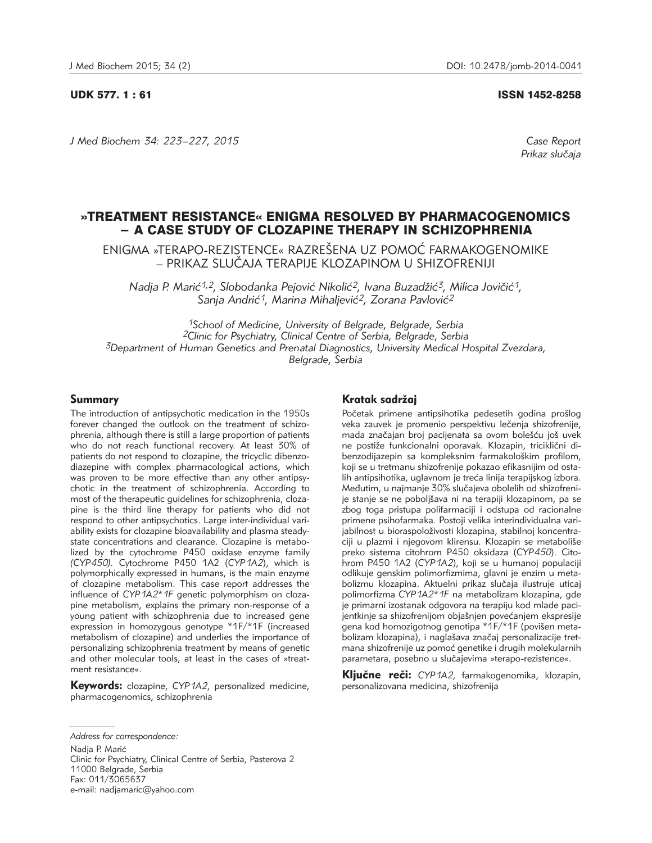#### UDK 577. 1 : 61 ISSN 1452-8258

*J Med Biochem 34: 223–227, 2015 Case Report*

*Prikaz slu~aja*

# »TREATMENT RESISTANCE« ENIGMA RESOLVED BY PHARMACOGENOMICS - A CASE STUDY OF CLOZAPINE THERAPY IN SCHIZOPHRENIA

ENIGMA »TERAPO-REZISTENCE« RAZREŠENA UZ POMOĆ FARMAKOGENOMIKE – PRIKAZ SLU^AJA TERAPIJE KLOZAPINOM U SHIZOFRENIJI

Nadja P. Marić<sup>1,2</sup>, Slobodanka Pejović Nikolić<sup>2</sup>, Ivana Buzadžić<sup>3</sup>, Milica Jovičić<sup>1</sup>, Sanja Andrić<sup>1</sup>, Marina Mihaljević<sup>2</sup>, Zorana Pavlović<sup>2</sup>

*1School of Medicine, University of Belgrade, Belgrade, Serbia 2Clinic for Psychiatry, Clinical Centre of Serbia, Belgrade, Serbia 3Department of Human Genetics and Prenatal Diagnostics, University Medical Hospital Zvezdara, Belgrade, Serbia* 

## Summary

The introduction of antipsychotic medication in the 1950s forever changed the outlook on the treatment of schizophrenia, although there is still a large proportion of patients who do not reach functional recovery. At least 30% of patients do not respond to clozapine, the tricyclic dibenzodiazepine with complex pharmacological actions, which was proven to be more effective than any other antipsychotic in the treatment of schizophrenia. According to most of the therapeutic guidelines for schizophrenia, clozapine is the third line therapy for patients who did not respond to other antipsychotics. Large inter-individual variability exists for clozapine bioavailability and plasma steadystate concentrations and clearance. Clozapine is metabolized by the cytochrome P450 oxidase enzyme family *(CYP450).* Cytochrome P450 1A2 (*CYP1A2*), which is polymorphically expressed in humans, is the main enzyme of clozapine metabolism. This case report addresses the influence of *CYP1A2\*1F* genetic polymorphism on clozapine metabolism, explains the primary non-response of a young patient with schizophrenia due to increased gene expression in homozygous genotype \*1F/\*1F (increased metabolism of clozapine) and underlies the importance of personalizing schizophrenia treatment by means of genetic and other molecular tools, at least in the cases of »treatment resistance«.

Keywords: clozapine, *CYP1A2*, personalized medicine, pharmacogenomics, schizophrenia

Nadja P. Marić

Clinic for Psychiatry, Clinical Centre of Serbia, Pasterova 2 11000 Belgrade, Serbia Fax: 011/3065637 e-mail: nadjamaric@yahoo.com

## Kratak sadržaj

Početak primene antipsihotika pedesetih godina prošlog veka zauvek je promenio perspektivu lečenja shizofrenije, mada značajan broj pacijenata sa ovom bolešću još uvek ne postiže funkcionalni oporavak. Klozapin, triciklični dibenzodijazepin sa kompleksnim farmakološkim profilom, koji se u tretmanu shizofrenije pokazao efikasnijim od osta lih antipsihotika, uglavnom je treća linija terapijskog izbora. Međutim, u najmanje 30% slučajeva obolelih od shizofrenije stanje se ne poboljšava ni na terapiji klozapinom, pa se zbog toga pristupa polifarmaciji i odstupa od racionalne primene psihofarmaka. Postoji velika interindividualna varijabilnost u bioraspoloživosti klozapina, stabilnoj koncentraciji u plazmi i njegovom klirensu. Klozapin se metaboliše preko sistema citohrom P450 oksidaza (CYP450). Citohrom P450 1A2 (*CYP1A2*), koji se u humanoj populaciji odlikuje genskim polimorfizmima, glavni je enzim u metabolizmu klozapina. Aktuelni prikaz slučaja ilustruje uticaj polimorfizma *CYP1A2\*1F* na metabolizam klozapina, gde je primarni izostanak odgovora na terapiju kod mlade pacijentkinje sa shizofrenijom objašnjen povećanjem ekspresije gena kod homozigotnog genotipa \*1F/\*1F (povišen metabolizam klozapina), i naglašava značaj personalizacije tretmana shizofrenije uz pomoć genetike i drugih molekularnih parametara, posebno u slučajevima »terapo-rezistence«.

Kliučne reči: *CYP1A2*, farmakogenomika, klozapin, personalizovana medicina, shizofrenija

*Address for correspondence:*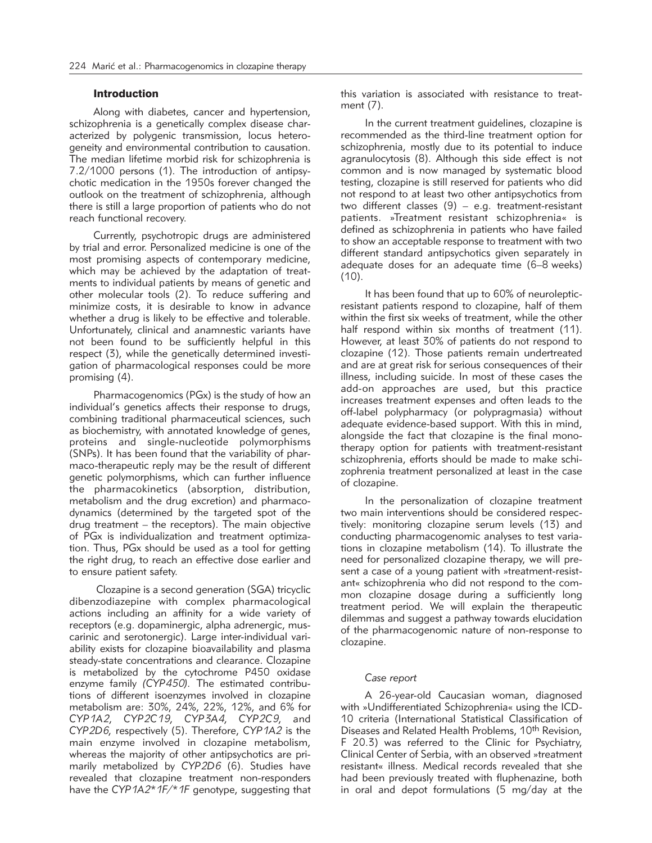## Introduction

Along with diabetes, cancer and hypertension, schizophrenia is a genetically complex disease characterized by polygenic transmission, locus heterogeneity and environmental contribution to causation. The median lifetime morbid risk for schizophrenia is 7.2/1000 persons (1). The introduction of antipsychotic medication in the 1950s forever changed the outlook on the treatment of schizophrenia, although there is still a large proportion of patients who do not reach functional recovery.

Currently, psychotropic drugs are administered by trial and error. Personalized medicine is one of the most promising aspects of contemporary medicine, which may be achieved by the adaptation of treatments to individual patients by means of genetic and other molecular tools (2). To reduce suffering and minimize costs, it is desirable to know in advance whether a drug is likely to be effective and tolerable. Unfortunately, clinical and anamnestic variants have not been found to be sufficiently helpful in this respect (3), while the genetically determined investigation of pharmacological responses could be more promising (4).

Pharmacogenomics (PGx) is the study of how an individual's genetics affects their response to drugs, combining traditional pharmaceutical sciences, such as biochemistry, with annotated knowledge of genes, proteins and single-nucleotide polymorphisms (SNPs). It has been found that the variability of pharmaco-therapeutic reply may be the result of different genetic polymorphisms, which can further influence the pharmacokinetics (absorption, distribution, metabolism and the drug excretion) and pharmacodynamics (determined by the targeted spot of the drug treatment – the receptors). The main objective of PGx is individualization and treatment optimization. Thus, PGx should be used as a tool for getting the right drug, to reach an effective dose earlier and to ensure patient safety.

Clozapine is a second generation (SGA) tricyclic dibenzodiazepine with complex pharmacological actions including an affinity for a wide variety of receptors (e.g. dopaminergic, alpha adrenergic, muscarinic and serotonergic). Large inter-individual variability exists for clozapine bioavailability and plasma steady-state concentrations and clearance. Clozapine is metabolized by the cytochrome P450 oxidase enzyme family *(CYP450).* The estimated contributions of different isoenzymes involved in clozapine metabolism are: 30%, 24%, 22%, 12%, and 6% for *CYP1A2, CYP2C19, CYP3A4, CYP2C9,* and *CYP2D6,* respectively (5). Therefore, *CYP1A2* is the main enzyme involved in clozapine metabolism, whereas the majority of other antipsychotics are primarily metabolized by *CYP2D6* (6). Studies have revealed that clozapine treatment non-responders have the *CYP1A2\*1F/\*1F* genotype, suggesting that

this variation is associated with resistance to treatment (7).

In the current treatment guidelines, clozapine is recommended as the third-line treatment option for schizophrenia, mostly due to its potential to induce agranulocytosis (8). Although this side effect is not common and is now managed by systematic blood testing, clozapine is still reserved for patients who did not respond to at least two other antipsychotics from two different classes (9) – e.g. treatment-resistant patients. »Treatment resistant schizophrenia« is defined as schizophrenia in patients who have failed to show an acceptable response to treatment with two different standard antipsychotics given separately in adequate doses for an adequate time (6–8 weeks)  $(10)$ .

It has been found that up to 60% of neurolepticresistant patients respond to clozapine, half of them within the first six weeks of treatment, while the other half respond within six months of treatment (11). However, at least 30% of patients do not respond to clozapine (12). Those patients remain undertreated and are at great risk for serious consequences of their illness, including suicide. In most of these cases the add-on approaches are used, but this practice increases treatment expenses and often leads to the off-label polypharmacy (or polypragmasia) without adequate evidence-based support. With this in mind, alongside the fact that clozapine is the final monotherapy option for patients with treatment-resistant schizophrenia, efforts should be made to make schizophrenia treatment personalized at least in the case of clozapine.

In the personalization of clozapine treatment two main interventions should be considered respectively: monitoring clozapine serum levels (13) and conducting pharmacogenomic analyses to test variations in clozapine metabolism (14). To illustrate the need for personalized clozapine therapy, we will present a case of a young patient with »treatment-resistant« schizophrenia who did not respond to the common clozapine dosage during a sufficiently long treatment period. We will explain the therapeutic dilemmas and suggest a pathway towards elucidation of the pharmacogenomic nature of non-response to clozapine.

#### *Case report*

A 26-year-old Caucasian woman, diagnosed with »Undifferentiated Schizophrenia« using the ICD-10 criteria (International Statistical Classification of Diseases and Related Health Problems, 10<sup>th</sup> Revision, F 20.3) was referred to the Clinic for Psychiatry, Clinical Center of Serbia, with an observed »treatment resistant« illness. Medical records revealed that she had been previously treated with fluphenazine, both in oral and depot formulations (5 mg/day at the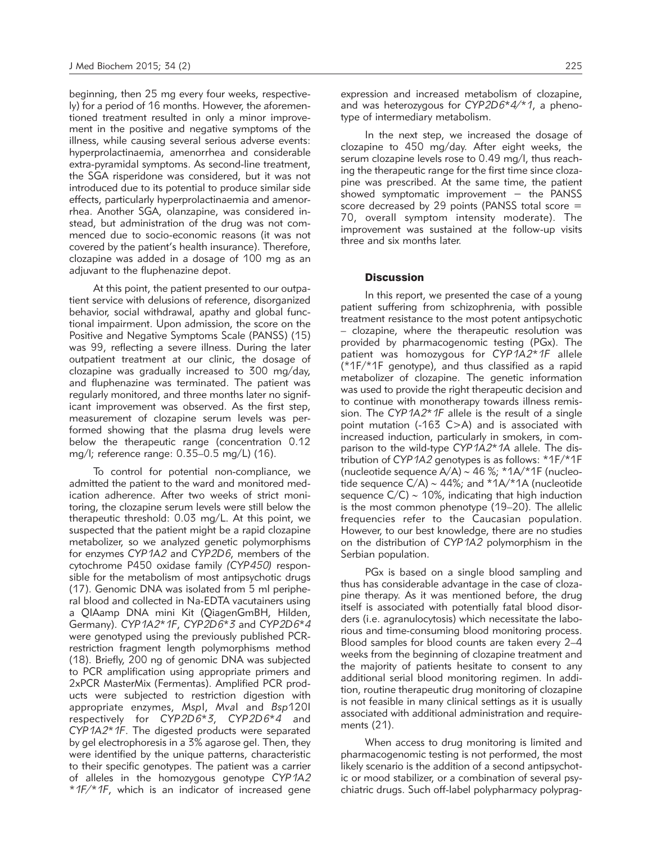beginning, then 25 mg every four weeks, respectively) for a period of 16 months. However, the aforementioned treatment resulted in only a minor improvement in the positive and negative symptoms of the illness, while causing several serious adverse events: hyperprolactinaemia, amenorrhea and considerable extra-pyramidal symptoms. As second-line treatment, the SGA risperidone was considered, but it was not introduced due to its potential to produce similar side effects, particularly hyperprolactinaemia and amenorrhea. Another SGA, olanzapine, was considered instead, but administration of the drug was not commenced due to socio-economic reasons (it was not covered by the patient's health insurance). Therefore, clozapine was added in a dosage of 100 mg as an adjuvant to the fluphenazine depot.

At this point, the patient presented to our outpatient service with delusions of reference, disorganized behavior, social withdrawal, apathy and global functional impairment. Upon admission, the score on the Positive and Negative Symptoms Scale (PANSS) (15) was 99, reflecting a severe illness. During the later outpatient treatment at our clinic, the dosage of clozapine was gradually increased to 300 mg/day, and fluphenazine was terminated. The patient was regularly monitored, and three months later no significant improvement was observed. As the first step, measurement of clozapine serum levels was performed showing that the plasma drug levels were below the therapeutic range (concentration 0.12 mg/l; reference range: 0.35–0.5 mg/L) (16).

To control for potential non-compliance, we admitted the patient to the ward and monitored medication adherence. After two weeks of strict monitoring, the clozapine serum levels were still below the therapeutic threshold: 0.03 mg/L. At this point, we suspected that the patient might be a rapid clozapine metabolizer, so we analyzed genetic polymorphisms for enzymes *CYP1A2* and *CYP2D6*, members of the cytochrome P450 oxidase family *(CYP450)* responsible for the metabolism of most antipsychotic drugs (17). Genomic DNA was isolated from 5 ml peripheral blood and collected in Na-EDTA vacutainers using a QIAamp DNA mini Kit (QiagenGmBH, Hilden, Germany). *CYP1A2\*1F*, *CYP2D6\*3* and *CYP2D6\*4* were genotyped using the previously published PCRrestriction fragment length polymorphisms method (18). Briefly, 200 ng of genomic DNA was subjected to PCR amplification using appropriate primers and 2xPCR MasterMix (Fermentas). Amplified PCR products were subjected to restriction digestion with appro priate enzymes, *Msp*I, *Mva*I and *Bsp*120I respectively for *CYP2D6\*3*, *CYP2D6\*4* and *CYP1A2\*1F*. The digested products were separated by gel electrophoresis in a 3% agarose gel. Then, they were identified by the unique patterns, characteristic to their specific genotypes. The patient was a carrier of alleles in the homozygous genotype *CYP1A2 \*1F/\*1F*, which is an indicator of increased gene

expression and increased metabolism of clozapine, and was heterozygous for *CYP2D6\*4/\*1*, a phenotype of intermediary metabolism.

In the next step, we increased the dosage of clozapine to 450 mg/day. After eight weeks, the serum clozapine levels rose to 0.49 mg/l, thus reaching the therapeutic range for the first time since clozapine was prescribed. At the same time, the patient showed symptomatic improvement – the PANSS score decreased by 29 points (PANSS total score = 70, overall symptom intensity moderate). The improvement was sustained at the follow-up visits three and six months later.

### **Discussion**

In this report, we presented the case of a young patient suffering from schizophrenia, with possible treatment resistance to the most potent antipsychotic – clozapine, where the therapeutic resolution was provided by pharmacogenomic testing (PGx). The patient was homozygous for *CYP1A2\*1F* allele (\*1F/\*1F genotype), and thus classified as a rapid metabolizer of clozapine. The genetic information was used to provide the right therapeutic decision and to continue with monotherapy towards illness remission. The *CYP1A2\*1F* allele is the result of a single point mutation (-163 C>A) and is associated with increased induction, particularly in smokers, in comparison to the wild-type *CYP1A2\*1A* allele. The distribution of *CYP1A2* genotypes is as follows: \*1F/\*1F (nucleotide sequence A/A) ∼ 46 %; \*1A/\*1F (nucleo tide sequence C/A) ∼ 44%; and \*1A/\*1A (nucleotide sequence C/C) ~ 10%, indicating that high induction is the most common phenotype (19–20). The allelic frequencies refer to the Caucasian population. However, to our best knowledge, there are no studies on the distribution of *CYP1A2* polymorphism in the Serbian population.

PGx is based on a single blood sampling and thus has considerable advantage in the case of clozapine therapy. As it was mentioned before, the drug itself is associated with potentially fatal blood disorders (i.e. agranulocytosis) which necessitate the laborious and time-consuming blood monitoring process. Blood samples for blood counts are taken every 2–4 weeks from the beginning of clozapine treatment and the majority of patients hesitate to consent to any additional serial blood monitoring regimen. In addition, routine therapeutic drug monitoring of clozapine is not feasible in many clinical settings as it is usually associated with additional administration and requirements (21).

When access to drug monitoring is limited and pharmacogenomic testing is not performed, the most likely scenario is the addition of a second antipsychotic or mood stabilizer, or a combination of several psychiatric drugs. Such off-label polypharmacy polyprag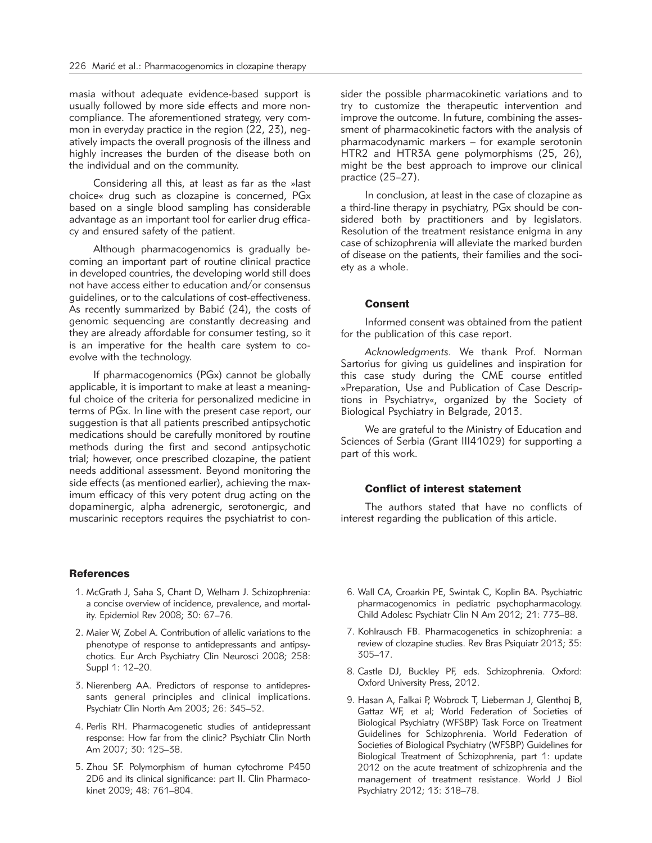masia without adequate evidence-based support is usually followed by more side effects and more noncompliance. The aforementioned strategy, very common in everyday practice in the region (22, 23), negatively impacts the overall prognosis of the illness and highly increases the burden of the disease both on the individual and on the community.

Considering all this, at least as far as the »last choice« drug such as clozapine is concerned, PGx based on a single blood sampling has considerable advantage as an important tool for earlier drug efficacy and ensured safety of the patient.

Although pharmacogenomics is gradually becoming an important part of routine clinical practice in developed countries, the developing world still does not have access either to education and/or consensus guidelines, or to the calculations of cost-effectiveness. As recently summarized by Babić (24), the costs of genomic sequencing are constantly decreasing and they are already affordable for consumer testing, so it is an imperative for the health care system to coevolve with the technology.

If pharmacogenomics (PGx) cannot be globally applicable, it is important to make at least a meaningful choice of the criteria for personalized medicine in terms of PGx. In line with the present case report, our suggestion is that all patients prescribed antipsychotic medications should be carefully monitored by routine methods during the first and second antipsychotic trial; however, once prescribed clozapine, the patient needs additional assessment. Beyond monitoring the side effects (as mentioned earlier), achieving the maximum efficacy of this very potent drug acting on the dopaminergic, alpha adrenergic, serotonergic, and muscarinic receptors requires the psychiatrist to con-

## **References**

- 1. McGrath J, Saha S, Chant D, Welham J. Schizophrenia: a concise overview of incidence, prevalence, and mortality. Epidemiol Rev 2008; 30: 67–76.
- 2. Maier W, Zobel A. Contribution of allelic variations to the phenotype of response to antidepressants and antipsychotics. Eur Arch Psychiatry Clin Neurosci 2008; 258: Suppl 1: 12–20.
- 3. Nierenberg AA. Predictors of response to antidepressants general principles and clinical implications. Psychiatr Clin North Am 2003; 26: 345–52.
- 4. Perlis RH. Pharmacogenetic studies of antidepressant response: How far from the clinic? Psychiatr Clin North Am 2007; 30: 125–38.
- 5. Zhou SF. Polymorphism of human cytochrome P450 2D6 and its clinical significance: part II. Clin Pharmacokinet 2009; 48: 761–804.

sider the possible pharmacokinetic variations and to try to customize the therapeutic intervention and improve the outcome. In future, combining the assessment of pharmacokinetic factors with the analysis of pharmacodynamic markers – for example serotonin HTR2 and HTR3A gene polymorphisms (25, 26), might be the best approach to improve our clinical practice (25–27).

In conclusion, at least in the case of clozapine as a third-line therapy in psychiatry, PGx should be considered both by practitioners and by legislators. Resolution of the treatment resistance enigma in any case of schizophrenia will alleviate the marked burden of disease on the patients, their families and the society as a whole.

### Consent

Informed consent was obtained from the patient for the publication of this case report.

*Acknowledgments.* We thank Prof. Norman Sartorius for giving us guidelines and inspiration for this case study during the CME course entitled »Preparation, Use and Publication of Case Descriptions in Psychiatry«, organized by the Society of Biological Psychiatry in Belgrade, 2013.

We are grateful to the Ministry of Education and Sciences of Serbia (Grant III41029) for supporting a part of this work.

#### Conflict of interest statement

The authors stated that have no conflicts of interest regarding the publication of this article.

- 6. Wall CA, Croarkin PE, Swintak C, Koplin BA. Psychiatric pharmacogenomics in pediatric psychopharmacology. Child Adolesc Psychiatr Clin N Am 2012; 21: 773–88.
- 7. Kohlrausch FB. Pharmacogenetics in schizophrenia: a review of clozapine studies. Rev Bras Psiquiatr 2013; 35: 305–17.
- 8. Castle DJ, Buckley PF, eds. Schizophrenia. Oxford: Oxford University Press, 2012.
- 9. Hasan A, Falkai P, Wobrock T, Lieberman J, Glenthoj B, Gattaz WF, et al; World Federation of Societies of Biological Psychiatry (WFSBP) Task Force on Treatment Guidelines for Schizophrenia. World Federation of Societies of Biological Psychiatry (WFSBP) Guidelines for Biological Treatment of Schizophrenia, part 1: update 2012 on the acute treatment of schizophrenia and the management of treatment resistance. World J Biol Psychiatry 2012; 13: 318–78.